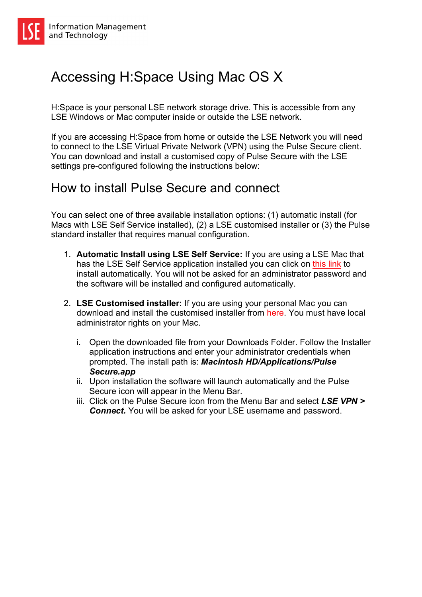## Accessing H:Space Using Mac OS X

H:Space is your personal LSE network storage drive. This is accessible from any LSE Windows or Mac computer inside or outside the LSE network.

If you are accessing H:Space from home or outside the LSE Network you will need to connect to the LSE Virtual Private Network (VPN) using the Pulse Secure client. You can download and install a customised copy of Pulse Secure with the LSE settings pre-configured following the instructions below:

## How to install Pulse Secure and connect

You can select one of three available installation options: (1) automatic install (for Macs with LSE Self Service installed), (2) a LSE customised installer or (3) the Pulse standard installer that requires manual configuration.

- 1. **Automatic Install using LSE Self Service:** If you are using a LSE Mac that has the LSE Self Service application installed you can click on this link to install automatically. You will not be asked for an administrator password and the software will be installed and configured automatically.
- 2. **LSE Customised installer:** If you are using your personal Mac you can download and install the customised installer from here. You must have local administrator rights on your Mac.
	- i. Open the downloaded file from your Downloads Folder. Follow the Installer application instructions and enter your administrator credentials when prompted. The install path is: *Macintosh HD/Applications/Pulse Secure.app*
	- ii. Upon installation the software will launch automatically and the Pulse Secure icon will appear in the Menu Bar.
	- iii. Click on the Pulse Secure icon from the Menu Bar and select *LSE VPN > Connect.* You will be asked for your LSE username and password.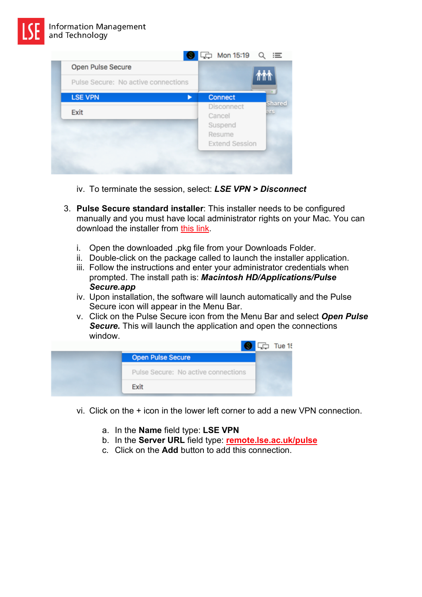

- iv. To terminate the session, select: *LSE VPN > Disconnect*
- 3. **Pulse Secure standard installer**: This installer needs to be configured manually and you must have local administrator rights on your Mac. You can download the installer from this link.
	- i. Open the downloaded .pkg file from your Downloads Folder.
	- ii. Double-click on the package called to launch the installer application.
	- iii. Follow the instructions and enter your administrator credentials when prompted. The install path is: *Macintosh HD/Applications/Pulse Secure.app*
	- iv. Upon installation, the software will launch automatically and the Pulse Secure icon will appear in the Menu Bar.
	- v. Click on the Pulse Secure icon from the Menu Bar and select *Open Pulse Secure.* This will launch the application and open the connections window.



- vi. Click on the + icon in the lower left corner to add a new VPN connection.
	- a. In the **Name** field type: **LSE VPN**
	- b. In the **Server URL** field type: **remote.lse.ac.uk/pulse**
	- c. Click on the **Add** button to add this connection.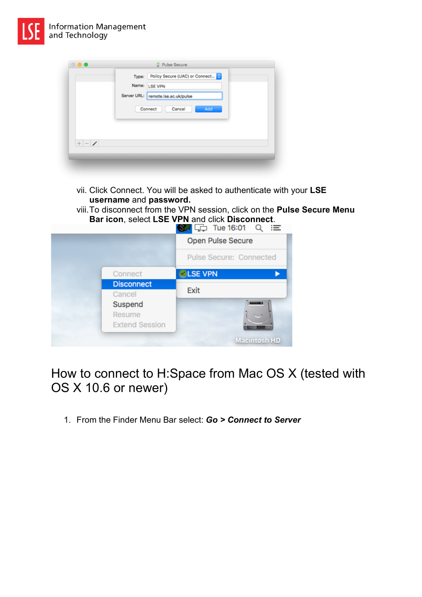

|         |  | Type: Policy Secure (UAC) or Connect |  |  |  |
|---------|--|--------------------------------------|--|--|--|
|         |  | Name: LSE VPN                        |  |  |  |
|         |  | Server URL: remote.ise.ac.uk/pulse   |  |  |  |
|         |  | Cancel<br>Connect<br>Add             |  |  |  |
| $+ - 1$ |  |                                      |  |  |  |
|         |  |                                      |  |  |  |

- vii. Click Connect. You will be asked to authenticate with your **LSE username** and **password.**
- viii.To disconnect from the VPN session, click on the **Pulse Secure Menu Bar icon**, select **LSE VPN** and click **Disconnect**.

|                       | $\overline{\mathbb{S}}$ $\Box$ Tue 16:01 Q<br>≔ |
|-----------------------|-------------------------------------------------|
|                       | Open Pulse Secure                               |
|                       | Pulse Secure: Connected                         |
| Connect               | <b>LSE VPN</b>                                  |
| <b>Disconnect</b>     |                                                 |
| Cancel                | Exit                                            |
| Suspend               |                                                 |
| Resume                | $\cup$                                          |
| <b>Extend Session</b> | <b>THEFT</b>                                    |
|                       | Macintosh HD                                    |

How to connect to H:Space from Mac OS X (tested with OS X 10.6 or newer)

1. From the Finder Menu Bar select: *Go > Connect to Server*